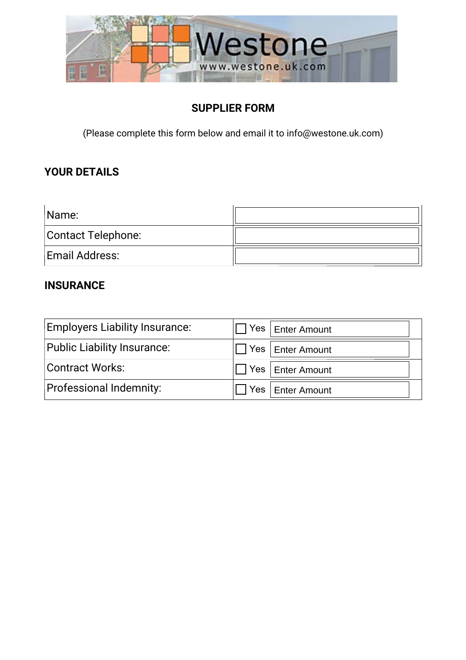

## **SUPPLIER FORM**

(Please complete this form below and email it to info@westone.uk.com)

## **YOUR DETAILS**

| Name:              |  |
|--------------------|--|
| Contact Telephone: |  |
| Email Address:     |  |

#### **INSURANCE**

| <b>Employers Liability Insurance:</b> | Yes   Enter Amount        |
|---------------------------------------|---------------------------|
| Public Liability Insurance:           | I Yes Enter Amount        |
| <b>Contract Works:</b>                | I∏ Yes   Enter Amount     |
| Professional Indemnity:               | $\Box$ Yes   Enter Amount |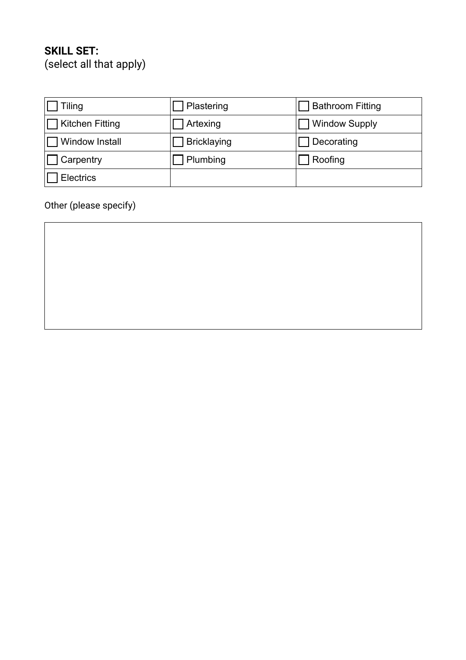# **SKILL SET:**

(select all that apply)

| Tiling           | Plastering  | <b>Bathroom Fitting</b> |
|------------------|-------------|-------------------------|
| Kitchen Fitting  | Artexing    | <b>Window Supply</b>    |
| Window Install   | Bricklaying | Decorating              |
| Carpentry        | Plumbing    | Roofing                 |
| <b>Electrics</b> |             |                         |

Other (please specify)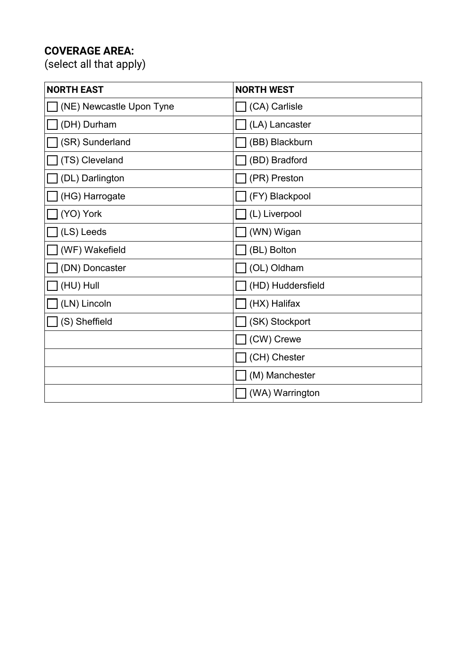# **COVERAGE AREA:**

(select all that apply)

| <b>NORTH EAST</b>        | <b>NORTH WEST</b>     |
|--------------------------|-----------------------|
| (NE) Newcastle Upon Tyne | $\Box$ (CA) Carlisle  |
| (DH) Durham              | $\Box$ (LA) Lancaster |
| (SR) Sunderland          | (BB) Blackburn        |
| (TS) Cleveland           | (BD) Bradford         |
| (DL) Darlington          | (PR) Preston          |
| (HG) Harrogate           | $\Box$ (FY) Blackpool |
| (YO) York                | $\Box$ (L) Liverpool  |
| (LS) Leeds               | (WN) Wigan            |
| (WF) Wakefield           | (BL) Bolton           |
| (DN) Doncaster           | (OL) Oldham           |
| (HU) Hull                | (HD) Huddersfield     |
| (LN) Lincoln             | $\Box$ (HX) Halifax   |
| (S) Sheffield            | $\Box$ (SK) Stockport |
|                          | $\Box$ (CW) Crewe     |
|                          | (CH) Chester          |
|                          | (M) Manchester        |
|                          | (WA) Warrington       |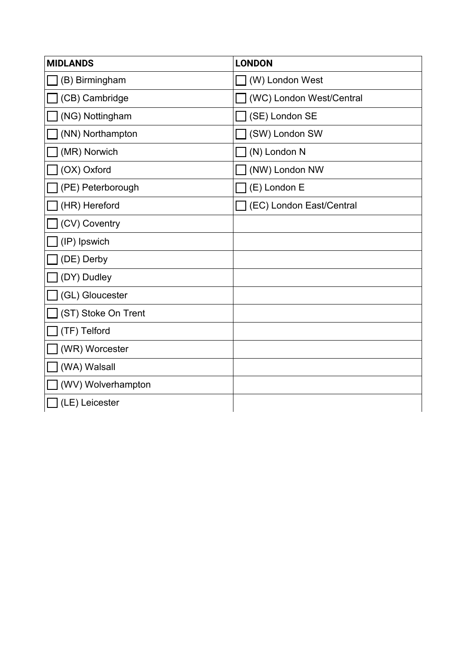| <b>MIDLANDS</b>     | <b>LONDON</b>            |
|---------------------|--------------------------|
| (B) Birmingham      | (W) London West          |
| (CB) Cambridge      | (WC) London West/Central |
| (NG) Nottingham     | (SE) London SE           |
| (NN) Northampton    | (SW) London SW           |
| (MR) Norwich        | (N) London N             |
| (OX) Oxford         | (NW) London NW           |
| (PE) Peterborough   | $\Box$ (E) London E      |
| (HR) Hereford       | (EC) London East/Central |
| (CV) Coventry       |                          |
| (IP) Ipswich        |                          |
| (DE) Derby          |                          |
| (DY) Dudley         |                          |
| (GL) Gloucester     |                          |
| (ST) Stoke On Trent |                          |
| (TF) Telford        |                          |
| (WR) Worcester      |                          |
| (WA) Walsall        |                          |
| (WV) Wolverhampton  |                          |
| (LE) Leicester      |                          |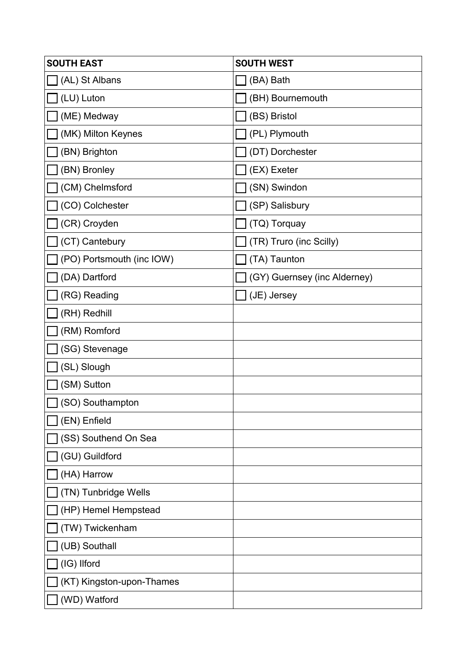| <b>SOUTH EAST</b>         | <b>SOUTH WEST</b>            |
|---------------------------|------------------------------|
| (AL) St Albans            | (BA) Bath                    |
| (LU) Luton                | (BH) Bournemouth             |
| (ME) Medway               | (BS) Bristol                 |
| (MK) Milton Keynes        | (PL) Plymouth                |
| (BN) Brighton             | (DT) Dorchester              |
| (BN) Bronley              | (EX) Exeter                  |
| (CM) Chelmsford           | (SN) Swindon                 |
| (CO) Colchester           | (SP) Salisbury               |
| (CR) Croyden              | (TQ) Torquay                 |
| (CT) Cantebury            | (TR) Truro (inc Scilly)      |
| (PO) Portsmouth (inc IOW) | (TA) Taunton                 |
| (DA) Dartford             | (GY) Guernsey (inc Alderney) |
| (RG) Reading              | (JE) Jersey                  |
| (RH) Redhill              |                              |
| (RM) Romford              |                              |
| (SG) Stevenage            |                              |
| (SL) Slough               |                              |
| (SM) Sutton               |                              |
| (SO) Southampton          |                              |
| (EN) Enfield              |                              |
| (SS) Southend On Sea      |                              |
| (GU) Guildford            |                              |
| (HA) Harrow               |                              |
| (TN) Tunbridge Wells      |                              |
| (HP) Hemel Hempstead      |                              |
| (TW) Twickenham           |                              |
| (UB) Southall             |                              |
| (IG) Ilford               |                              |
| (KT) Kingston-upon-Thames |                              |
| (WD) Watford              |                              |